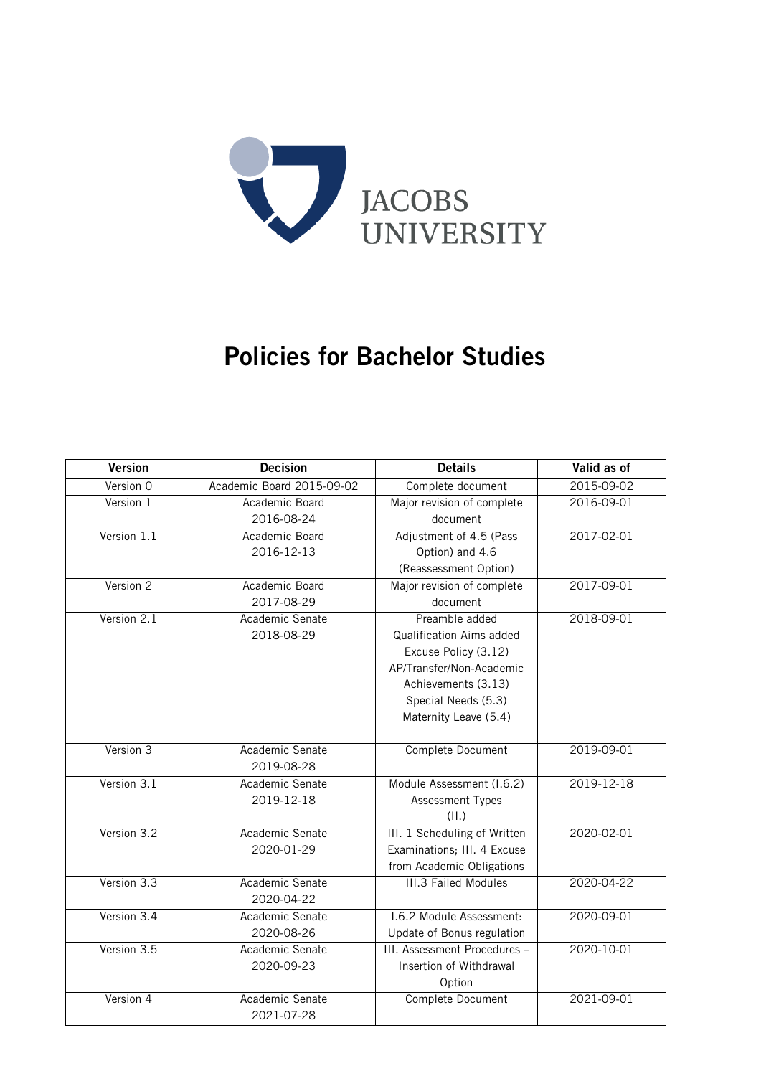

# Policies for Bachelor Studies

| <b>Version</b> | <b>Decision</b>           | <b>Details</b>                  | Valid as of      |
|----------------|---------------------------|---------------------------------|------------------|
| Version 0      | Academic Board 2015-09-02 | Complete document               | 2015-09-02       |
| Version 1      | Academic Board            | Major revision of complete      | 2016-09-01       |
|                | 2016-08-24                | document                        |                  |
| Version 1.1    | Academic Board            | Adjustment of 4.5 (Pass         | 2017-02-01       |
|                | 2016-12-13                | Option) and 4.6                 |                  |
|                |                           | (Reassessment Option)           |                  |
| Version 2      | Academic Board            | Major revision of complete      | 2017-09-01       |
|                | 2017-08-29                | document                        |                  |
| Version 2.1    | Academic Senate           | Preamble added                  | $2018 - 09 - 01$ |
|                | 2018-08-29                | <b>Qualification Aims added</b> |                  |
|                |                           | Excuse Policy (3.12)            |                  |
|                |                           | AP/Transfer/Non-Academic        |                  |
|                |                           | Achievements (3.13)             |                  |
|                |                           | Special Needs (5.3)             |                  |
|                |                           | Maternity Leave (5.4)           |                  |
|                |                           |                                 |                  |
| Version 3      | Academic Senate           | Complete Document               | 2019-09-01       |
|                | 2019-08-28                |                                 |                  |
| Version 3.1    | Academic Senate           | Module Assessment (I.6.2)       | 2019-12-18       |
|                | 2019-12-18                | Assessment Types                |                  |
|                |                           | (II.)                           |                  |
| Version 3.2    | Academic Senate           | III. 1 Scheduling of Written    | 2020-02-01       |
|                | 2020-01-29                | Examinations; III. 4 Excuse     |                  |
|                |                           | from Academic Obligations       |                  |
| Version 3.3    | Academic Senate           | <b>III.3 Failed Modules</b>     | 2020-04-22       |
|                | 2020-04-22                |                                 |                  |
| Version 3.4    | Academic Senate           | 1.6.2 Module Assessment:        | 2020-09-01       |
|                | 2020-08-26                | Update of Bonus regulation      |                  |
| Version 3.5    | Academic Senate           | III. Assessment Procedures -    | 2020-10-01       |
|                | 2020-09-23                | Insertion of Withdrawal         |                  |
|                |                           | Option                          |                  |
| Version 4      | Academic Senate           | Complete Document               | 2021-09-01       |
|                | 2021-07-28                |                                 |                  |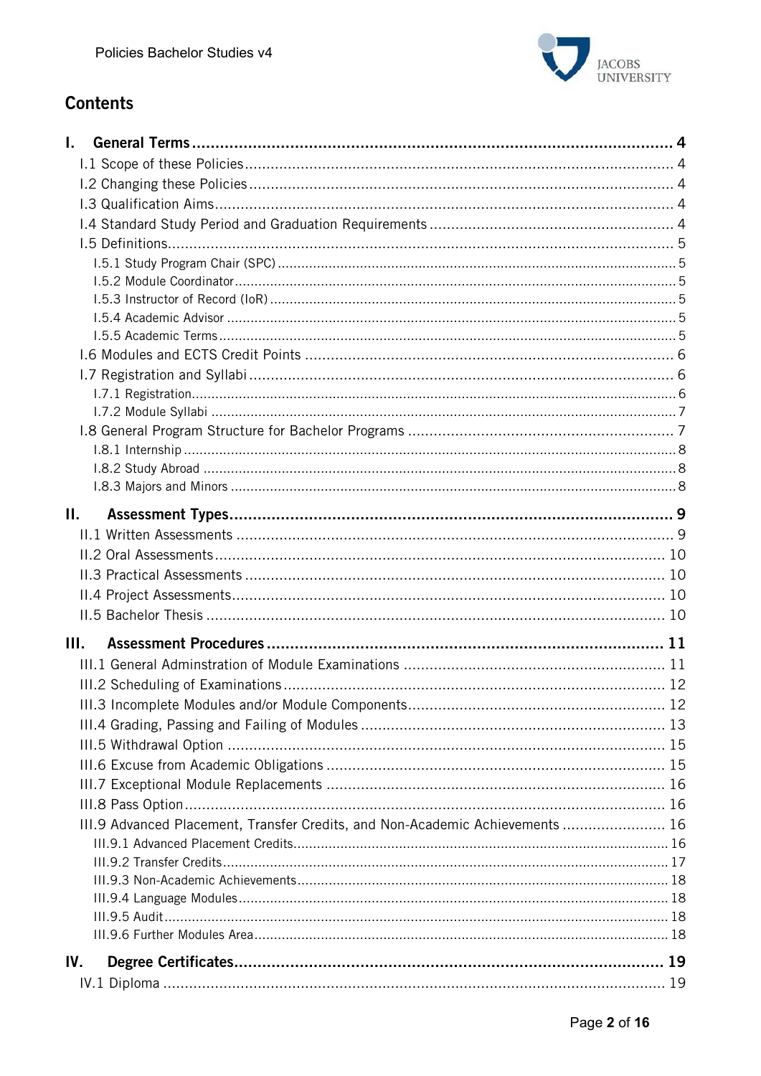

# **Contents**

| L.   |                                                                               |  |
|------|-------------------------------------------------------------------------------|--|
|      |                                                                               |  |
|      |                                                                               |  |
|      |                                                                               |  |
|      |                                                                               |  |
|      |                                                                               |  |
|      |                                                                               |  |
|      |                                                                               |  |
|      |                                                                               |  |
|      |                                                                               |  |
|      |                                                                               |  |
|      |                                                                               |  |
|      |                                                                               |  |
|      |                                                                               |  |
|      |                                                                               |  |
|      |                                                                               |  |
|      |                                                                               |  |
|      |                                                                               |  |
|      |                                                                               |  |
| П.   |                                                                               |  |
|      |                                                                               |  |
|      |                                                                               |  |
|      |                                                                               |  |
|      |                                                                               |  |
|      |                                                                               |  |
| III. |                                                                               |  |
|      |                                                                               |  |
|      |                                                                               |  |
|      |                                                                               |  |
|      |                                                                               |  |
|      |                                                                               |  |
|      |                                                                               |  |
|      |                                                                               |  |
|      |                                                                               |  |
|      | III.9 Advanced Placement, Transfer Credits, and Non-Academic Achievements  16 |  |
|      |                                                                               |  |
|      |                                                                               |  |
|      |                                                                               |  |
|      |                                                                               |  |
|      |                                                                               |  |
|      |                                                                               |  |
| IV.  |                                                                               |  |
|      |                                                                               |  |
|      |                                                                               |  |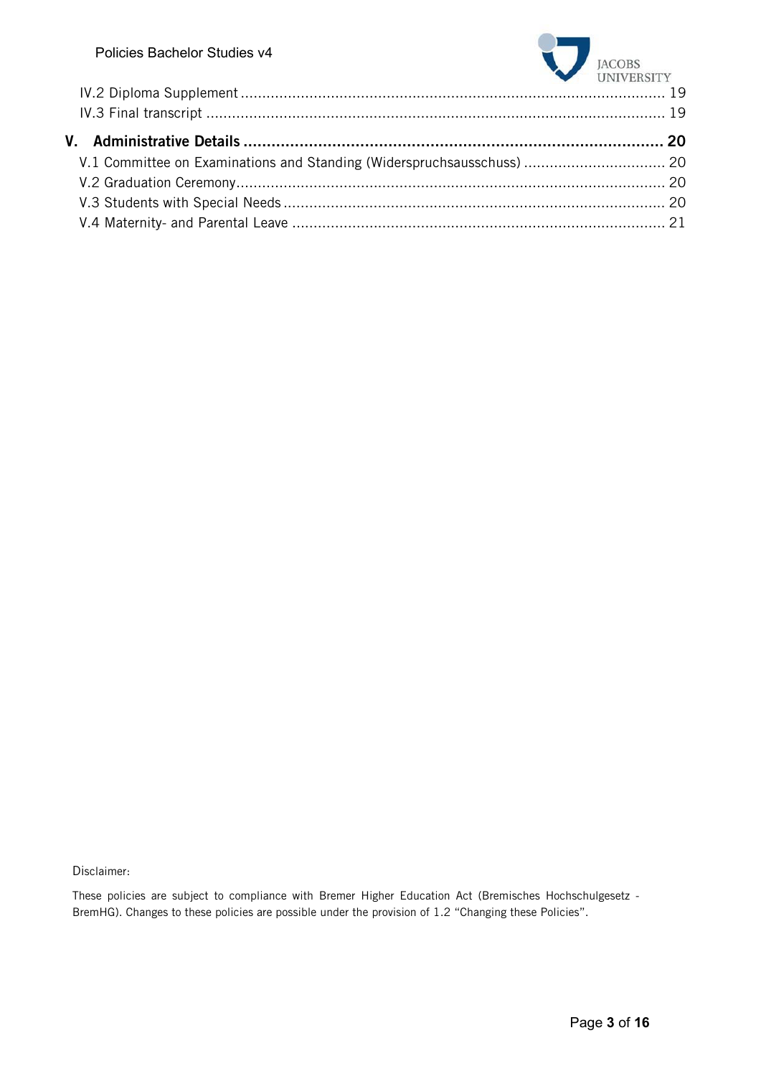

Disclaimer:

These policies are subject to compliance with Bremer Higher Education Act (Bremisches Hochschulgesetz - BremHG). Changes to these policies are possible under the provision of 1.2 "Changing these Policies".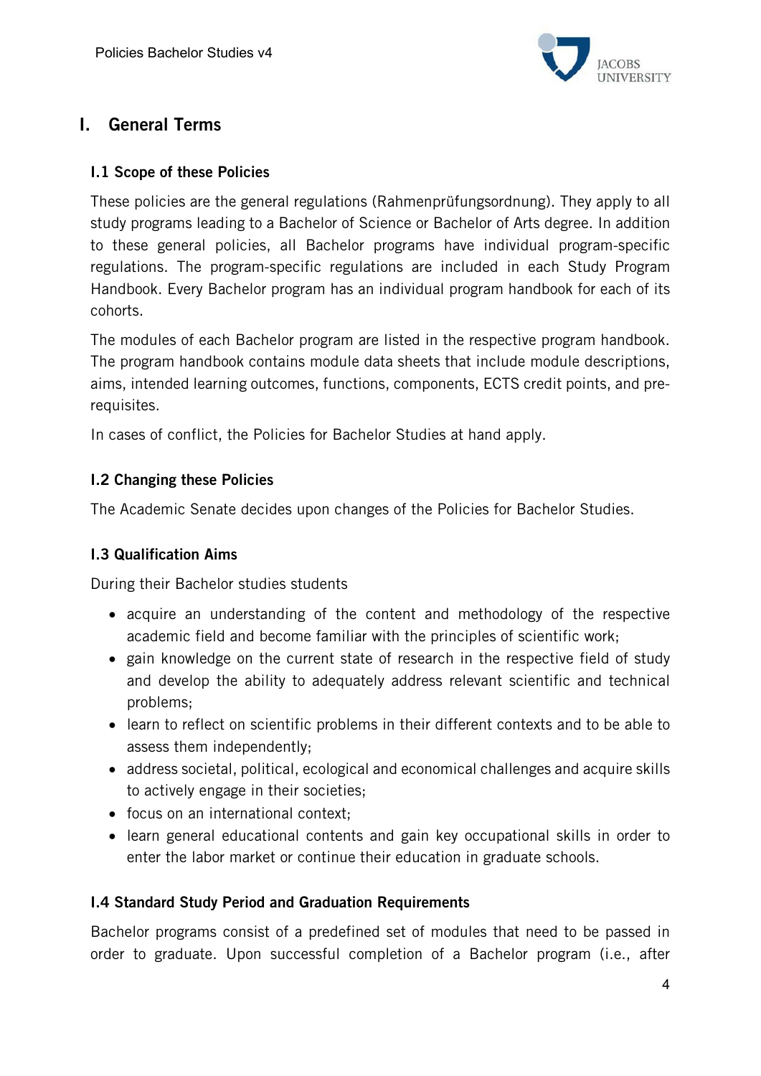

# I. General Terms

# I.1 Scope of these Policies

These policies are the general regulations (Rahmenprüfungsordnung). They apply to all study programs leading to a Bachelor of Science or Bachelor of Arts degree. In addition to these general policies, all Bachelor programs have individual program-specific regulations. The program-specific regulations are included in each Study Program Handbook. Every Bachelor program has an individual program handbook for each of its cohorts.

The modules of each Bachelor program are listed in the respective program handbook. The program handbook contains module data sheets that include module descriptions, aims, intended learning outcomes, functions, components, ECTS credit points, and prerequisites.

In cases of conflict, the Policies for Bachelor Studies at hand apply.

# I.2 Changing these Policies

The Academic Senate decides upon changes of the Policies for Bachelor Studies.

# I.3 Qualification Aims

During their Bachelor studies students

- acquire an understanding of the content and methodology of the respective academic field and become familiar with the principles of scientific work;
- gain knowledge on the current state of research in the respective field of study and develop the ability to adequately address relevant scientific and technical problems;
- learn to reflect on scientific problems in their different contexts and to be able to assess them independently;
- address societal, political, ecological and economical challenges and acquire skills to actively engage in their societies;
- focus on an international context;
- learn general educational contents and gain key occupational skills in order to enter the labor market or continue their education in graduate schools.

#### I.4 Standard Study Period and Graduation Requirements

Bachelor programs consist of a predefined set of modules that need to be passed in order to graduate. Upon successful completion of a Bachelor program (i.e., after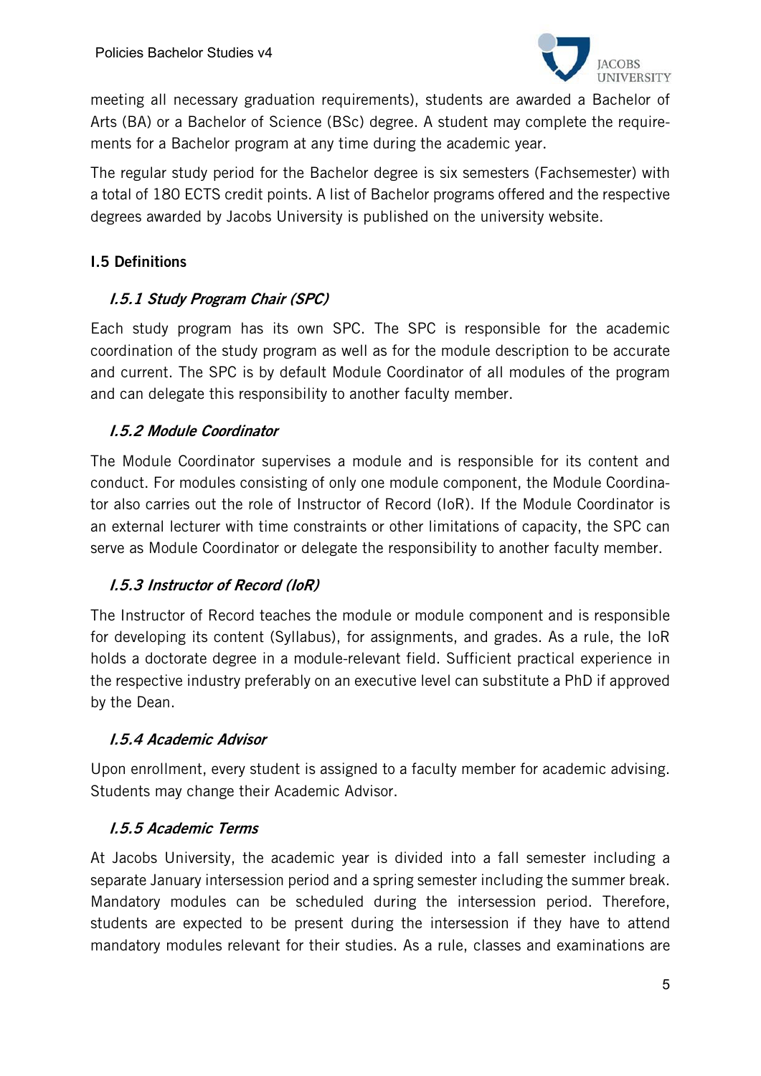

meeting all necessary graduation requirements), students are awarded a Bachelor of Arts (BA) or a Bachelor of Science (BSc) degree. A student may complete the requirements for a Bachelor program at any time during the academic year.

The regular study period for the Bachelor degree is six semesters (Fachsemester) with a total of 180 ECTS credit points. A list of Bachelor programs offered and the respective degrees awarded by Jacobs University is published on the university website.

# I.5 Definitions

# I.5.1 Study Program Chair (SPC)

Each study program has its own SPC. The SPC is responsible for the academic coordination of the study program as well as for the module description to be accurate and current. The SPC is by default Module Coordinator of all modules of the program and can delegate this responsibility to another faculty member.

# I.5.2 Module Coordinator

The Module Coordinator supervises a module and is responsible for its content and conduct. For modules consisting of only one module component, the Module Coordinator also carries out the role of Instructor of Record (IoR). If the Module Coordinator is an external lecturer with time constraints or other limitations of capacity, the SPC can serve as Module Coordinator or delegate the responsibility to another faculty member.

# I.5.3 Instructor of Record (IoR)

The Instructor of Record teaches the module or module component and is responsible for developing its content (Syllabus), for assignments, and grades. As a rule, the IoR holds a doctorate degree in a module-relevant field. Sufficient practical experience in the respective industry preferably on an executive level can substitute a PhD if approved by the Dean.

#### I.5.4 Academic Advisor

Upon enrollment, every student is assigned to a faculty member for academic advising. Students may change their Academic Advisor.

#### I.5.5 Academic Terms

At Jacobs University, the academic year is divided into a fall semester including a separate January intersession period and a spring semester including the summer break. Mandatory modules can be scheduled during the intersession period. Therefore, students are expected to be present during the intersession if they have to attend mandatory modules relevant for their studies. As a rule, classes and examinations are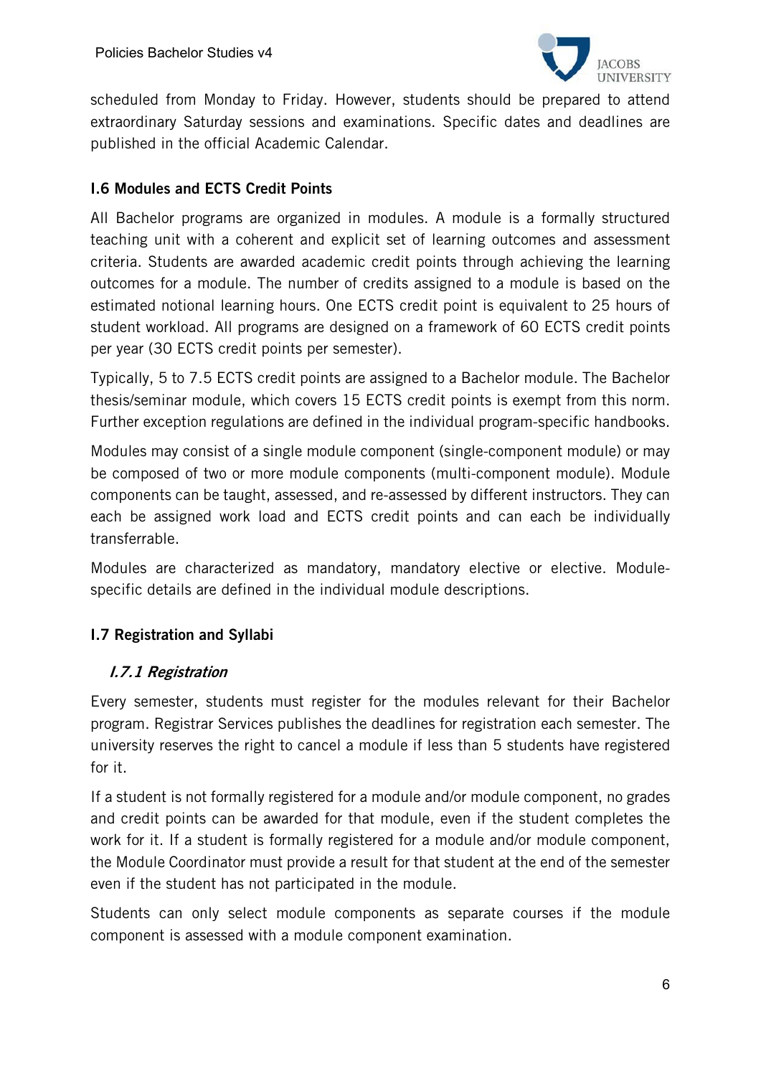

scheduled from Monday to Friday. However, students should be prepared to attend extraordinary Saturday sessions and examinations. Specific dates and deadlines are published in the official Academic Calendar.

# I.6 Modules and ECTS Credit Points

All Bachelor programs are organized in modules. A module is a formally structured teaching unit with a coherent and explicit set of learning outcomes and assessment criteria. Students are awarded academic credit points through achieving the learning outcomes for a module. The number of credits assigned to a module is based on the estimated notional learning hours. One ECTS credit point is equivalent to 25 hours of student workload. All programs are designed on a framework of 60 ECTS credit points per year (30 ECTS credit points per semester).

Typically, 5 to 7.5 ECTS credit points are assigned to a Bachelor module. The Bachelor thesis/seminar module, which covers 15 ECTS credit points is exempt from this norm. Further exception regulations are defined in the individual program-specific handbooks.

Modules may consist of a single module component (single-component module) or may be composed of two or more module components (multi-component module). Module components can be taught, assessed, and re-assessed by different instructors. They can each be assigned work load and ECTS credit points and can each be individually transferrable.

Modules are characterized as mandatory, mandatory elective or elective. Modulespecific details are defined in the individual module descriptions.

# I.7 Registration and Syllabi

#### I.7.1 Registration

Every semester, students must register for the modules relevant for their Bachelor program. Registrar Services publishes the deadlines for registration each semester. The university reserves the right to cancel a module if less than 5 students have registered for it.

If a student is not formally registered for a module and/or module component, no grades and credit points can be awarded for that module, even if the student completes the work for it. If a student is formally registered for a module and/or module component, the Module Coordinator must provide a result for that student at the end of the semester even if the student has not participated in the module.

Students can only select module components as separate courses if the module component is assessed with a module component examination.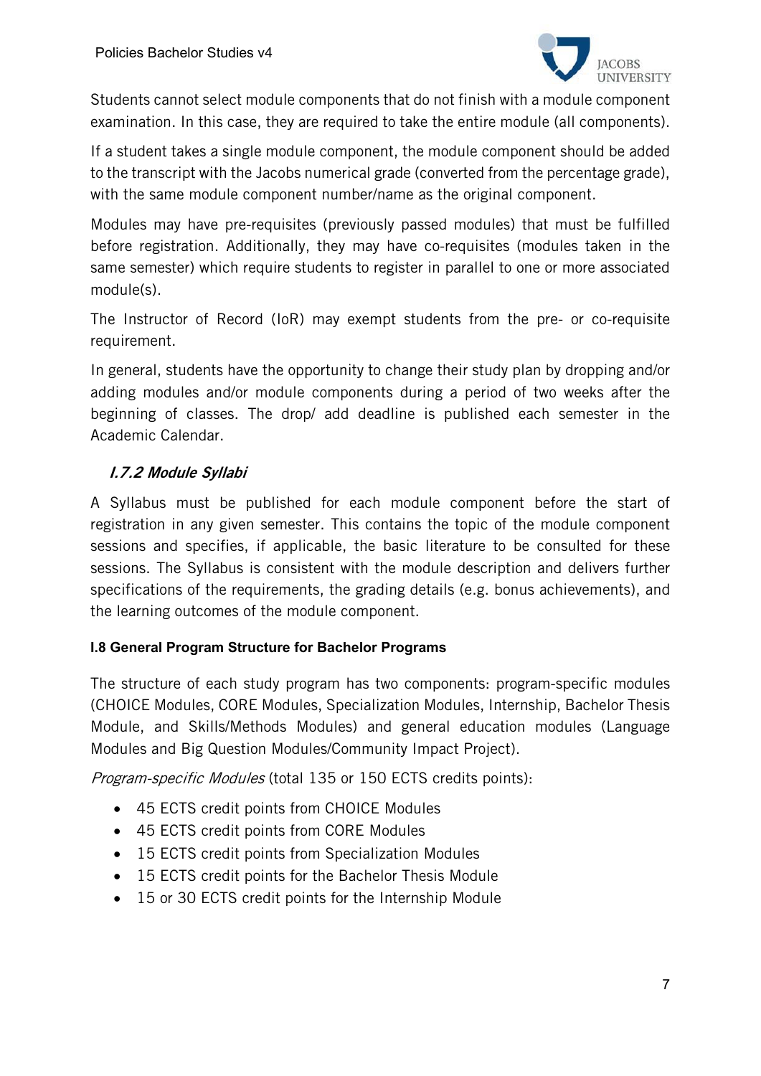

Students cannot select module components that do not finish with a module component examination. In this case, they are required to take the entire module (all components).

If a student takes a single module component, the module component should be added to the transcript with the Jacobs numerical grade (converted from the percentage grade), with the same module component number/name as the original component.

Modules may have pre-requisites (previously passed modules) that must be fulfilled before registration. Additionally, they may have co-requisites (modules taken in the same semester) which require students to register in parallel to one or more associated module(s).

The Instructor of Record (IoR) may exempt students from the pre- or co-requisite requirement.

In general, students have the opportunity to change their study plan by dropping and/or adding modules and/or module components during a period of two weeks after the beginning of classes. The drop/ add deadline is published each semester in the Academic Calendar.

# I.7.2 Module Syllabi

A Syllabus must be published for each module component before the start of registration in any given semester. This contains the topic of the module component sessions and specifies, if applicable, the basic literature to be consulted for these sessions. The Syllabus is consistent with the module description and delivers further specifications of the requirements, the grading details (e.g. bonus achievements), and the learning outcomes of the module component.

#### **I.8 General Program Structure for Bachelor Programs**

The structure of each study program has two components: program-specific modules (CHOICE Modules, CORE Modules, Specialization Modules, Internship, Bachelor Thesis Module, and Skills/Methods Modules) and general education modules (Language Modules and Big Question Modules/Community Impact Project).

Program-specific Modules (total 135 or 150 ECTS credits points):

- 45 ECTS credit points from CHOICE Modules
- 45 ECTS credit points from CORE Modules
- 15 ECTS credit points from Specialization Modules
- 15 ECTS credit points for the Bachelor Thesis Module
- 15 or 30 ECTS credit points for the Internship Module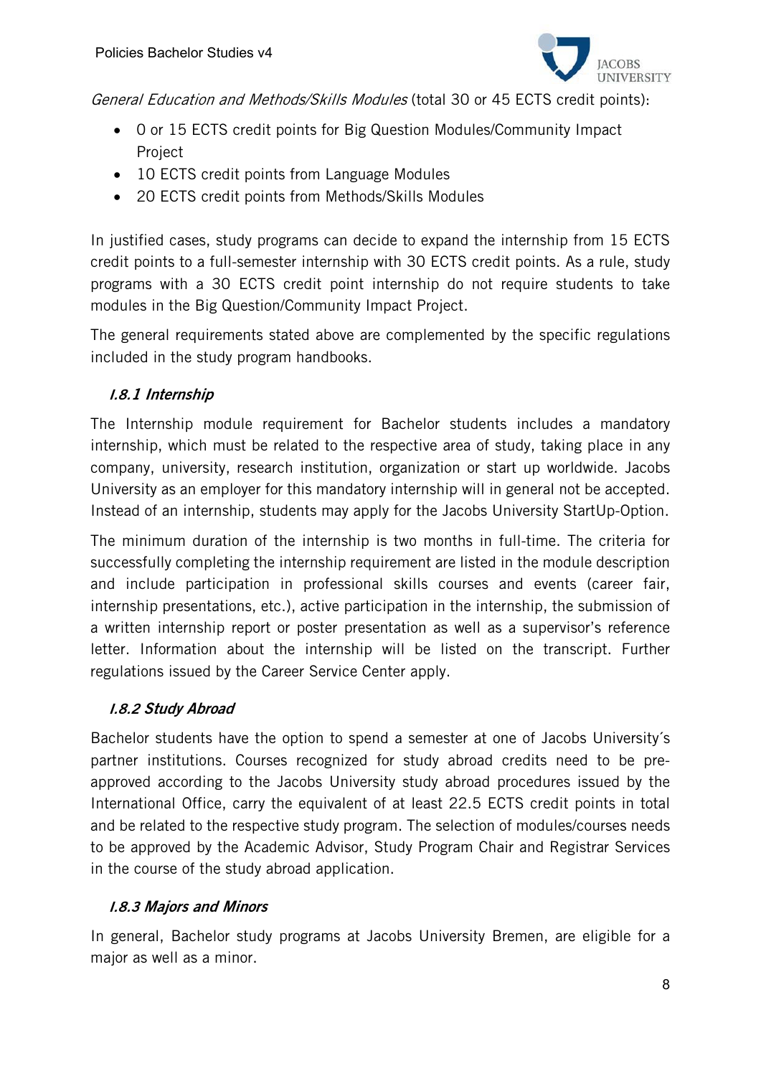

General Education and Methods/Skills Modules (total 30 or 45 ECTS credit points):

- 0 or 15 ECTS credit points for Big Question Modules/Community Impact Project
- 10 ECTS credit points from Language Modules
- 20 ECTS credit points from Methods/Skills Modules

In justified cases, study programs can decide to expand the internship from 15 ECTS credit points to a full-semester internship with 30 ECTS credit points. As a rule, study programs with a 30 ECTS credit point internship do not require students to take modules in the Big Question/Community Impact Project.

The general requirements stated above are complemented by the specific regulations included in the study program handbooks.

# I.8.1 Internship

The Internship module requirement for Bachelor students includes a mandatory internship, which must be related to the respective area of study, taking place in any company, university, research institution, organization or start up worldwide. Jacobs University as an employer for this mandatory internship will in general not be accepted. Instead of an internship, students may apply for the Jacobs University StartUp-Option.

The minimum duration of the internship is two months in full-time. The criteria for successfully completing the internship requirement are listed in the module description and include participation in professional skills courses and events (career fair, internship presentations, etc.), active participation in the internship, the submission of a written internship report or poster presentation as well as a supervisor's reference letter. Information about the internship will be listed on the transcript. Further regulations issued by the Career Service Center apply.

#### I.8.2 Study Abroad

Bachelor students have the option to spend a semester at one of Jacobs University´s partner institutions. Courses recognized for study abroad credits need to be preapproved according to the Jacobs University study abroad procedures issued by the International Office, carry the equivalent of at least 22.5 ECTS credit points in total and be related to the respective study program. The selection of modules/courses needs to be approved by the Academic Advisor, Study Program Chair and Registrar Services in the course of the study abroad application.

#### I.8.3 Majors and Minors

In general, Bachelor study programs at Jacobs University Bremen, are eligible for a major as well as a minor.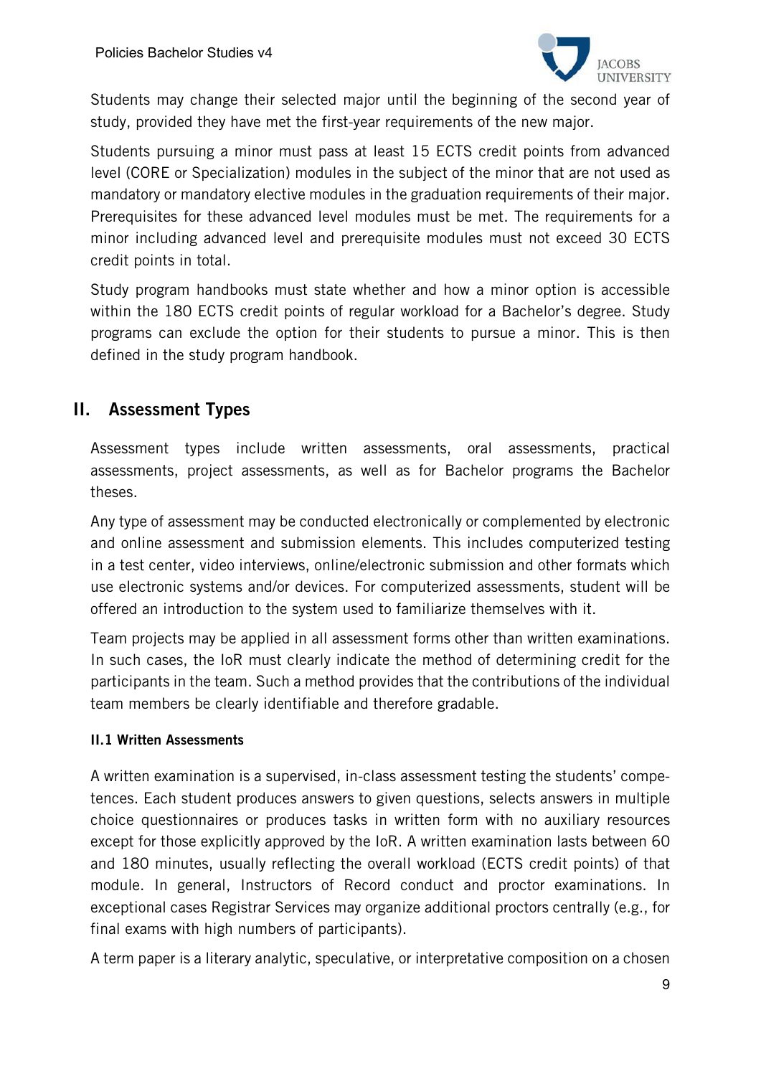

Students may change their selected major until the beginning of the second year of study, provided they have met the first-year requirements of the new major.

Students pursuing a minor must pass at least 15 ECTS credit points from advanced level (CORE or Specialization) modules in the subject of the minor that are not used as mandatory or mandatory elective modules in the graduation requirements of their major. Prerequisites for these advanced level modules must be met. The requirements for a minor including advanced level and prerequisite modules must not exceed 30 ECTS credit points in total.

Study program handbooks must state whether and how a minor option is accessible within the 180 ECTS credit points of regular workload for a Bachelor's degree. Study programs can exclude the option for their students to pursue a minor. This is then defined in the study program handbook.

# II. Assessment Types

Assessment types include written assessments, oral assessments, practical assessments, project assessments, as well as for Bachelor programs the Bachelor theses.

Any type of assessment may be conducted electronically or complemented by electronic and online assessment and submission elements. This includes computerized testing in a test center, video interviews, online/electronic submission and other formats which use electronic systems and/or devices. For computerized assessments, student will be offered an introduction to the system used to familiarize themselves with it.

Team projects may be applied in all assessment forms other than written examinations. In such cases, the IoR must clearly indicate the method of determining credit for the participants in the team. Such a method provides that the contributions of the individual team members be clearly identifiable and therefore gradable.

#### II.1 Written Assessments

A written examination is a supervised, in-class assessment testing the students' competences. Each student produces answers to given questions, selects answers in multiple choice questionnaires or produces tasks in written form with no auxiliary resources except for those explicitly approved by the IoR. A written examination lasts between 60 and 180 minutes, usually reflecting the overall workload (ECTS credit points) of that module. In general, Instructors of Record conduct and proctor examinations. In exceptional cases Registrar Services may organize additional proctors centrally (e.g., for final exams with high numbers of participants).

A term paper is a literary analytic, speculative, or interpretative composition on a chosen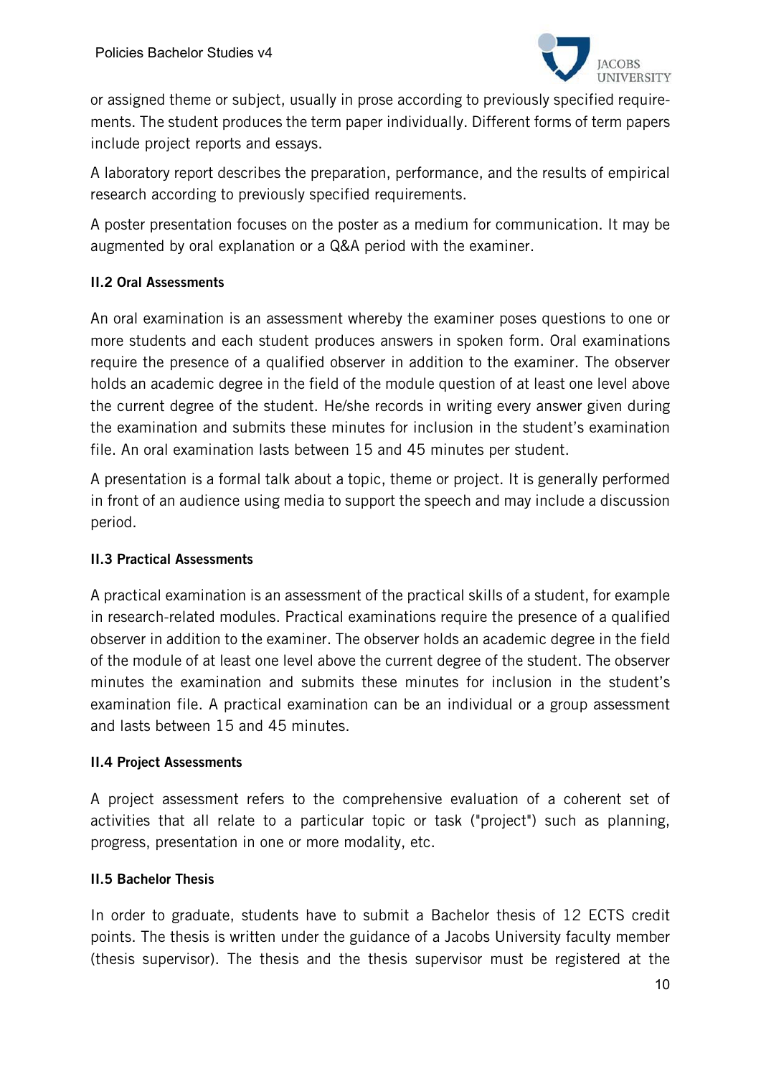

or assigned theme or subject, usually in prose according to previously specified requirements. The student produces the term paper individually. Different forms of term papers include project reports and essays.

A laboratory report describes the preparation, performance, and the results of empirical research according to previously specified requirements.

A poster presentation focuses on the poster as a medium for communication. It may be augmented by oral explanation or a Q&A period with the examiner.

#### II.2 Oral Assessments

An oral examination is an assessment whereby the examiner poses questions to one or more students and each student produces answers in spoken form. Oral examinations require the presence of a qualified observer in addition to the examiner. The observer holds an academic degree in the field of the module question of at least one level above the current degree of the student. He/she records in writing every answer given during the examination and submits these minutes for inclusion in the student's examination file. An oral examination lasts between 15 and 45 minutes per student.

A presentation is a formal talk about a topic, theme or project. It is generally performed in front of an audience using media to support the speech and may include a discussion period.

#### II.3 Practical Assessments

A practical examination is an assessment of the practical skills of a student, for example in research-related modules. Practical examinations require the presence of a qualified observer in addition to the examiner. The observer holds an academic degree in the field of the module of at least one level above the current degree of the student. The observer minutes the examination and submits these minutes for inclusion in the student's examination file. A practical examination can be an individual or a group assessment and lasts between 15 and 45 minutes.

#### II.4 Project Assessments

A project assessment refers to the comprehensive evaluation of a coherent set of activities that all relate to a particular topic or task ("project") such as planning, progress, presentation in one or more modality, etc.

# II.5 Bachelor Thesis

In order to graduate, students have to submit a Bachelor thesis of 12 ECTS credit points. The thesis is written under the guidance of a Jacobs University faculty member (thesis supervisor). The thesis and the thesis supervisor must be registered at the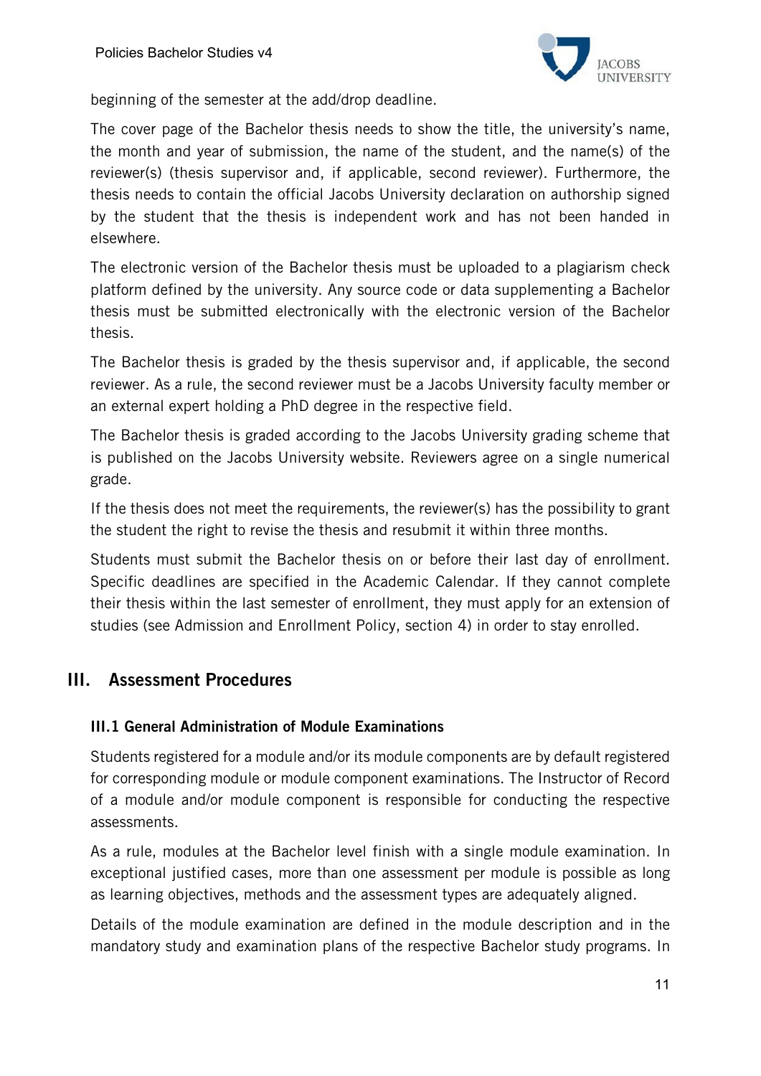

beginning of the semester at the add/drop deadline.

The cover page of the Bachelor thesis needs to show the title, the university's name, the month and year of submission, the name of the student, and the name(s) of the reviewer(s) (thesis supervisor and, if applicable, second reviewer). Furthermore, the thesis needs to contain the official Jacobs University declaration on authorship signed by the student that the thesis is independent work and has not been handed in elsewhere.

The electronic version of the Bachelor thesis must be uploaded to a plagiarism check platform defined by the university. Any source code or data supplementing a Bachelor thesis must be submitted electronically with the electronic version of the Bachelor thesis.

The Bachelor thesis is graded by the thesis supervisor and, if applicable, the second reviewer. As a rule, the second reviewer must be a Jacobs University faculty member or an external expert holding a PhD degree in the respective field.

The Bachelor thesis is graded according to the Jacobs University grading scheme that is published on the Jacobs University website. Reviewers agree on a single numerical grade.

If the thesis does not meet the requirements, the reviewer(s) has the possibility to grant the student the right to revise the thesis and resubmit it within three months.

Students must submit the Bachelor thesis on or before their last day of enrollment. Specific deadlines are specified in the Academic Calendar. If they cannot complete their thesis within the last semester of enrollment, they must apply for an extension of studies (see Admission and Enrollment Policy, section 4) in order to stay enrolled.

# III. Assessment Procedures

#### III.1 General Administration of Module Examinations

Students registered for a module and/or its module components are by default registered for corresponding module or module component examinations. The Instructor of Record of a module and/or module component is responsible for conducting the respective assessments.

As a rule, modules at the Bachelor level finish with a single module examination. In exceptional justified cases, more than one assessment per module is possible as long as learning objectives, methods and the assessment types are adequately aligned.

Details of the module examination are defined in the module description and in the mandatory study and examination plans of the respective Bachelor study programs. In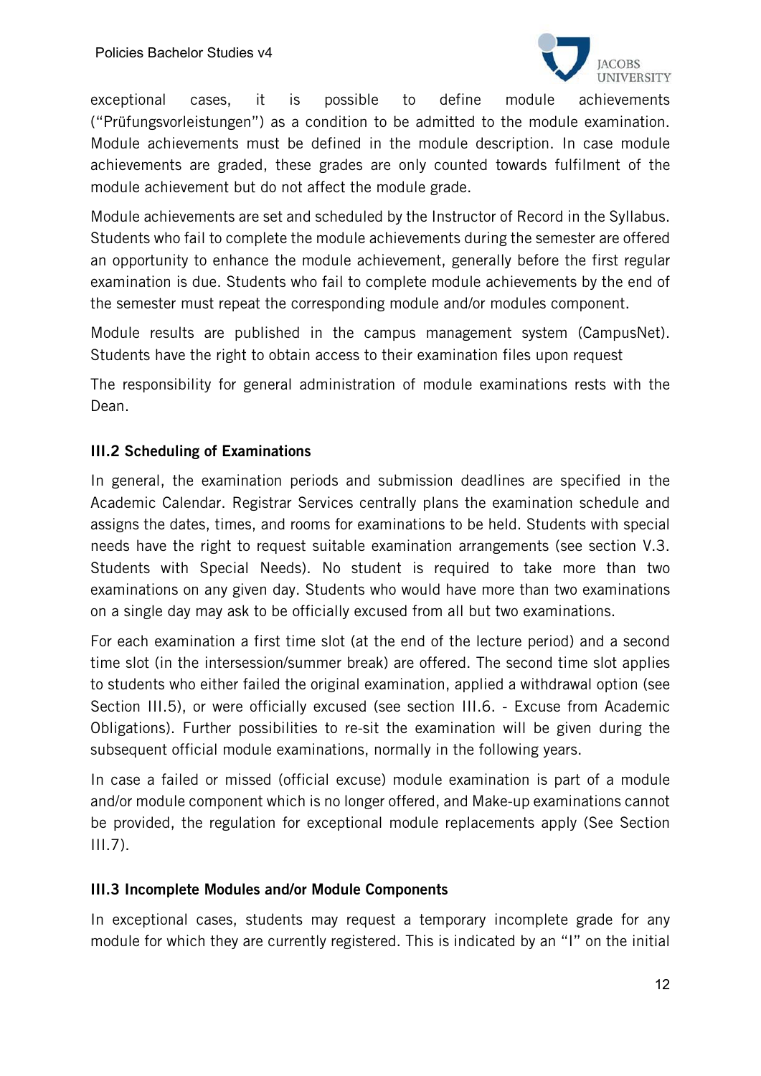

exceptional cases, it is possible to define module achievements ("Prüfungsvorleistungen") as a condition to be admitted to the module examination. Module achievements must be defined in the module description. In case module achievements are graded, these grades are only counted towards fulfilment of the module achievement but do not affect the module grade.

Module achievements are set and scheduled by the Instructor of Record in the Syllabus. Students who fail to complete the module achievements during the semester are offered an opportunity to enhance the module achievement, generally before the first regular examination is due. Students who fail to complete module achievements by the end of the semester must repeat the corresponding module and/or modules component.

Module results are published in the campus management system (CampusNet). Students have the right to obtain access to their examination files upon request

The responsibility for general administration of module examinations rests with the Dean.

# III.2 Scheduling of Examinations

In general, the examination periods and submission deadlines are specified in the Academic Calendar. Registrar Services centrally plans the examination schedule and assigns the dates, times, and rooms for examinations to be held. Students with special needs have the right to request suitable examination arrangements (see section V.3. Students with Special Needs). No student is required to take more than two examinations on any given day. Students who would have more than two examinations on a single day may ask to be officially excused from all but two examinations.

For each examination a first time slot (at the end of the lecture period) and a second time slot (in the intersession/summer break) are offered. The second time slot applies to students who either failed the original examination, applied a withdrawal option (see Section III.5), or were officially excused (see section III.6. - Excuse from Academic Obligations). Further possibilities to re-sit the examination will be given during the subsequent official module examinations, normally in the following years.

In case a failed or missed (official excuse) module examination is part of a module and/or module component which is no longer offered, and Make-up examinations cannot be provided, the regulation for exceptional module replacements apply (See Section III.7).

#### III.3 Incomplete Modules and/or Module Components

In exceptional cases, students may request a temporary incomplete grade for any module for which they are currently registered. This is indicated by an "I" on the initial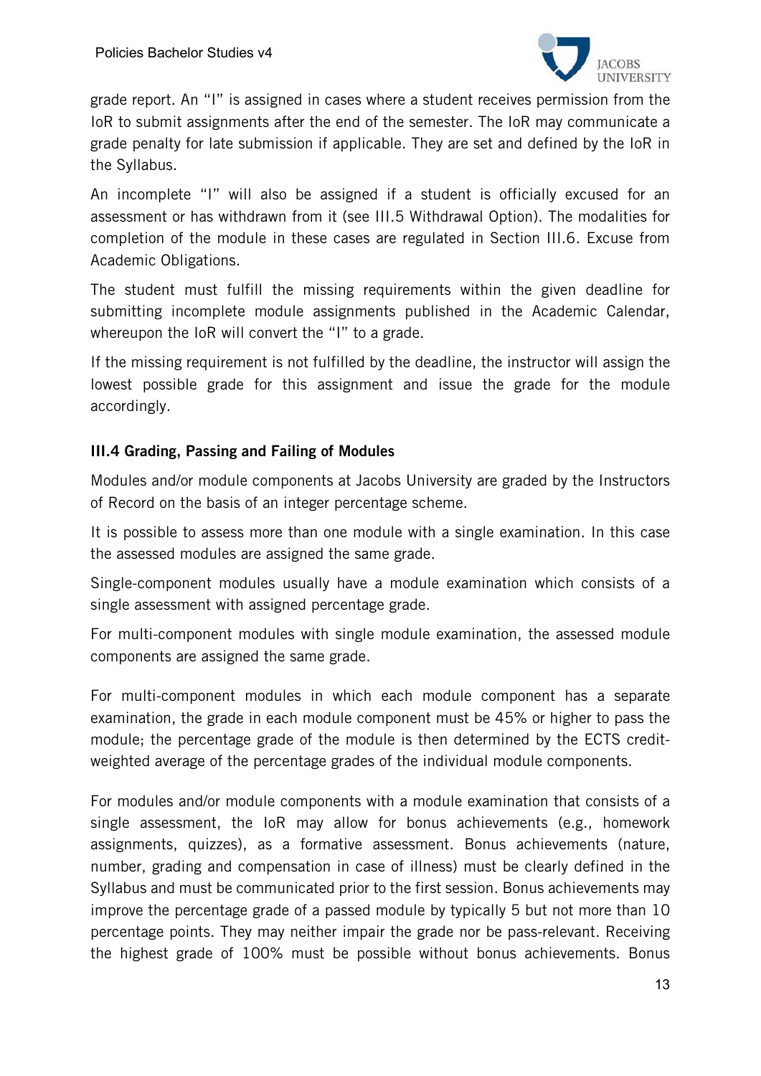

grade report. An "I" is assigned in cases where a student receives permission from the IoR to submit assignments after the end of the semester. The IoR may communicate a grade penalty for late submission if applicable. They are set and defined by the IoR in the Syllabus.

An incomplete "I" will also be assigned if a student is officially excused for an assessment or has withdrawn from it (see III.5 Withdrawal Option). The modalities for completion of the module in these cases are regulated in Section III.6. Excuse from Academic Obligations.

The student must fulfill the missing requirements within the given deadline for submitting incomplete module assignments published in the Academic Calendar, whereupon the IoR will convert the "I" to a grade.

If the missing requirement is not fulfilled by the deadline, the instructor will assign the lowest possible grade for this assignment and issue the grade for the module accordingly.

#### III.4 Grading, Passing and Failing of Modules

Modules and/or module components at Jacobs University are graded by the Instructors of Record on the basis of an integer percentage scheme.

It is possible to assess more than one module with a single examination. In this case the assessed modules are assigned the same grade.

Single-component modules usually have a module examination which consists of a single assessment with assigned percentage grade.

For multi-component modules with single module examination, the assessed module components are assigned the same grade.

For multi-component modules in which each module component has a separate examination, the grade in each module component must be 45% or higher to pass the module; the percentage grade of the module is then determined by the ECTS creditweighted average of the percentage grades of the individual module components.

For modules and/or module components with a module examination that consists of a single assessment, the IoR may allow for bonus achievements (e.g., homework assignments, quizzes), as a formative assessment. Bonus achievements (nature, number, grading and compensation in case of illness) must be clearly defined in the Syllabus and must be communicated prior to the first session. Bonus achievements may improve the percentage grade of a passed module by typically 5 but not more than 10 percentage points. They may neither impair the grade nor be pass-relevant. Receiving the highest grade of 100% must be possible without bonus achievements. Bonus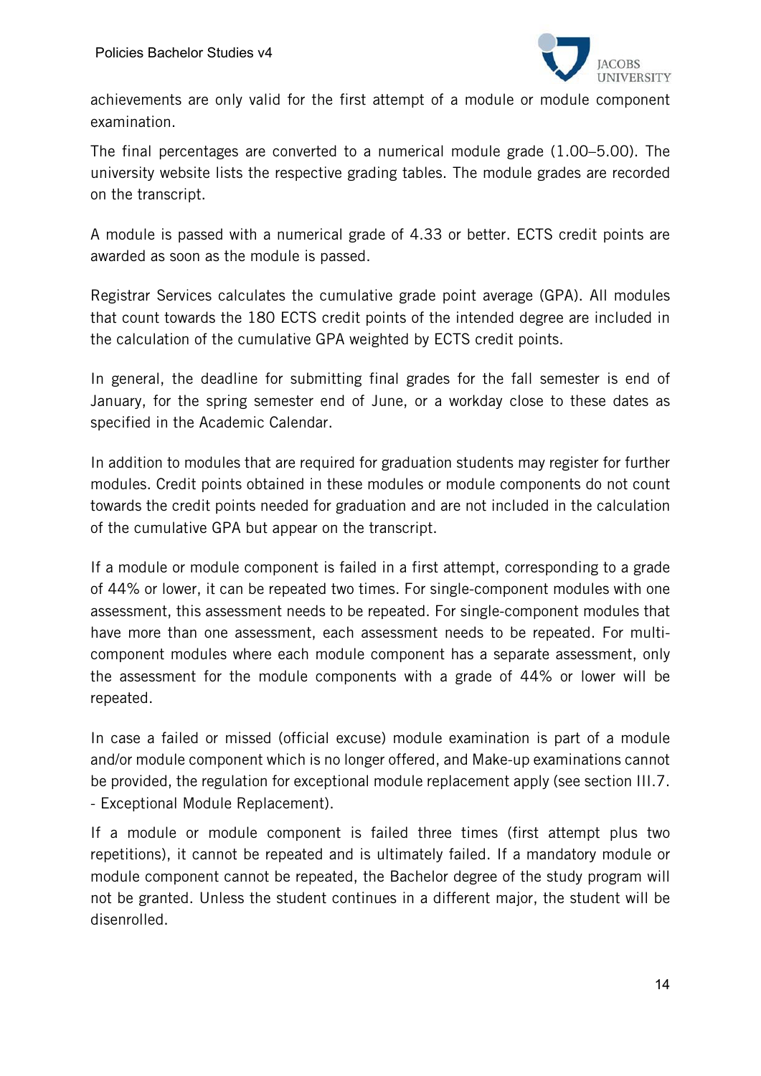

achievements are only valid for the first attempt of a module or module component examination.

The final percentages are converted to a numerical module grade (1.00–5.00). The university website lists the respective grading tables. The module grades are recorded on the transcript.

A module is passed with a numerical grade of 4.33 or better. ECTS credit points are awarded as soon as the module is passed.

Registrar Services calculates the cumulative grade point average (GPA). All modules that count towards the 180 ECTS credit points of the intended degree are included in the calculation of the cumulative GPA weighted by ECTS credit points.

In general, the deadline for submitting final grades for the fall semester is end of January, for the spring semester end of June, or a workday close to these dates as specified in the Academic Calendar.

In addition to modules that are required for graduation students may register for further modules. Credit points obtained in these modules or module components do not count towards the credit points needed for graduation and are not included in the calculation of the cumulative GPA but appear on the transcript.

If a module or module component is failed in a first attempt, corresponding to a grade of 44% or lower, it can be repeated two times. For single-component modules with one assessment, this assessment needs to be repeated. For single-component modules that have more than one assessment, each assessment needs to be repeated. For multicomponent modules where each module component has a separate assessment, only the assessment for the module components with a grade of 44% or lower will be repeated.

In case a failed or missed (official excuse) module examination is part of a module and/or module component which is no longer offered, and Make-up examinations cannot be provided, the regulation for exceptional module replacement apply (see section III.7. - Exceptional Module Replacement).

If a module or module component is failed three times (first attempt plus two repetitions), it cannot be repeated and is ultimately failed. If a mandatory module or module component cannot be repeated, the Bachelor degree of the study program will not be granted. Unless the student continues in a different major, the student will be disenrolled.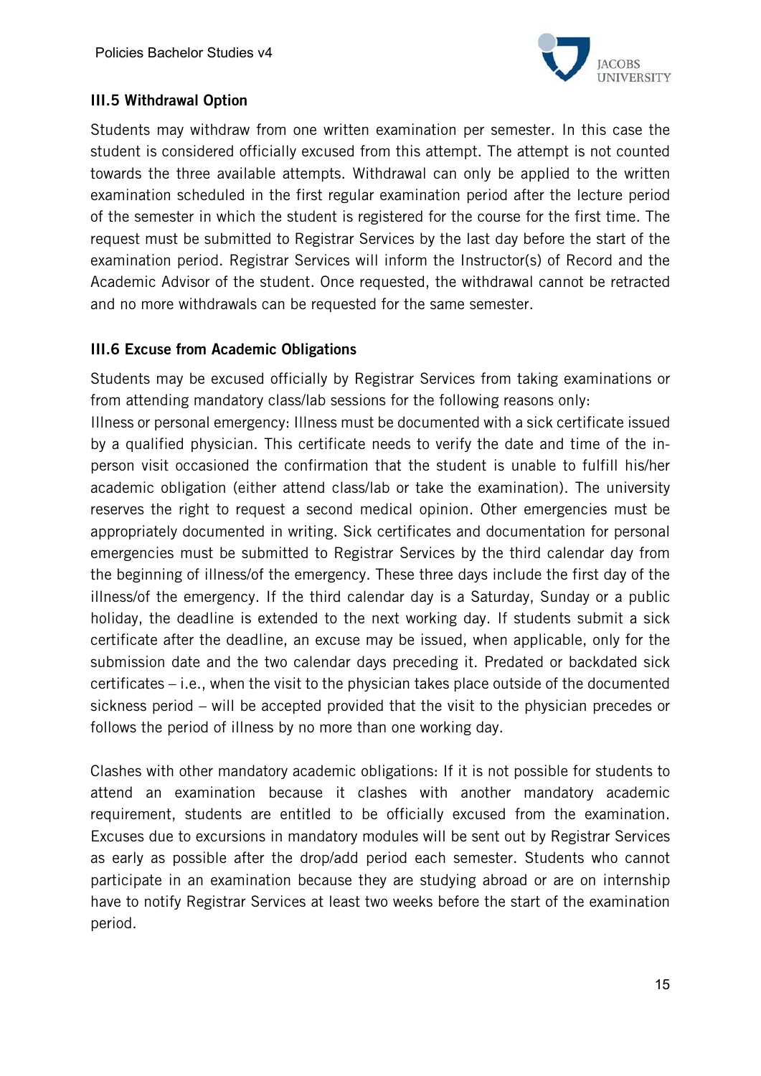

# III.5 Withdrawal Option

Students may withdraw from one written examination per semester. In this case the student is considered officially excused from this attempt. The attempt is not counted towards the three available attempts. Withdrawal can only be applied to the written examination scheduled in the first regular examination period after the lecture period of the semester in which the student is registered for the course for the first time. The request must be submitted to Registrar Services by the last day before the start of the examination period. Registrar Services will inform the Instructor(s) of Record and the Academic Advisor of the student. Once requested, the withdrawal cannot be retracted and no more withdrawals can be requested for the same semester.

#### III.6 Excuse from Academic Obligations

Students may be excused officially by Registrar Services from taking examinations or from attending mandatory class/lab sessions for the following reasons only:

Illness or personal emergency: Illness must be documented with a sick certificate issued by a qualified physician. This certificate needs to verify the date and time of the inperson visit occasioned the confirmation that the student is unable to fulfill his/her academic obligation (either attend class/lab or take the examination). The university reserves the right to request a second medical opinion. Other emergencies must be appropriately documented in writing. Sick certificates and documentation for personal emergencies must be submitted to Registrar Services by the third calendar day from the beginning of illness/of the emergency. These three days include the first day of the illness/of the emergency. If the third calendar day is a Saturday, Sunday or a public holiday, the deadline is extended to the next working day. If students submit a sick certificate after the deadline, an excuse may be issued, when applicable, only for the submission date and the two calendar days preceding it. Predated or backdated sick certificates – i.e., when the visit to the physician takes place outside of the documented sickness period – will be accepted provided that the visit to the physician precedes or follows the period of illness by no more than one working day.

Clashes with other mandatory academic obligations: If it is not possible for students to attend an examination because it clashes with another mandatory academic requirement, students are entitled to be officially excused from the examination. Excuses due to excursions in mandatory modules will be sent out by Registrar Services as early as possible after the drop/add period each semester. Students who cannot participate in an examination because they are studying abroad or are on internship have to notify Registrar Services at least two weeks before the start of the examination period.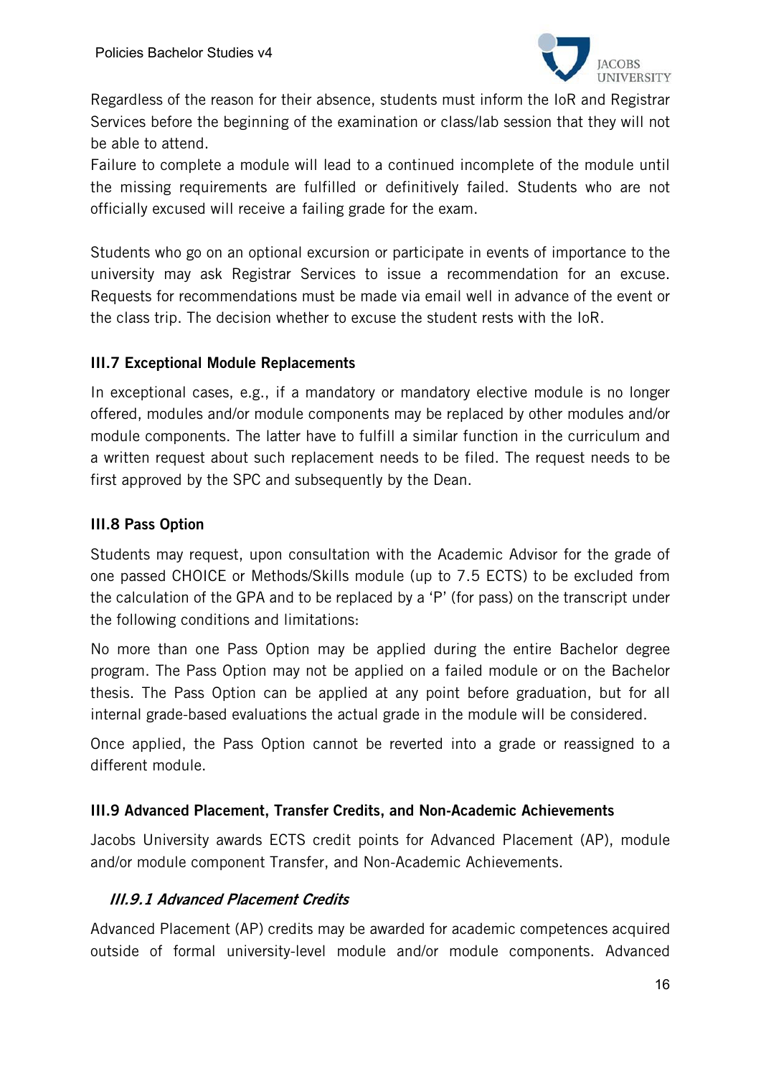

Regardless of the reason for their absence, students must inform the IoR and Registrar Services before the beginning of the examination or class/lab session that they will not be able to attend.

Failure to complete a module will lead to a continued incomplete of the module until the missing requirements are fulfilled or definitively failed. Students who are not officially excused will receive a failing grade for the exam.

Students who go on an optional excursion or participate in events of importance to the university may ask Registrar Services to issue a recommendation for an excuse. Requests for recommendations must be made via email well in advance of the event or the class trip. The decision whether to excuse the student rests with the IoR.

# III.7 Exceptional Module Replacements

In exceptional cases, e.g., if a mandatory or mandatory elective module is no longer offered, modules and/or module components may be replaced by other modules and/or module components. The latter have to fulfill a similar function in the curriculum and a written request about such replacement needs to be filed. The request needs to be first approved by the SPC and subsequently by the Dean.

# III.8 Pass Option

Students may request, upon consultation with the Academic Advisor for the grade of one passed CHOICE or Methods/Skills module (up to 7.5 ECTS) to be excluded from the calculation of the GPA and to be replaced by a 'P' (for pass) on the transcript under the following conditions and limitations:

No more than one Pass Option may be applied during the entire Bachelor degree program. The Pass Option may not be applied on a failed module or on the Bachelor thesis. The Pass Option can be applied at any point before graduation, but for all internal grade-based evaluations the actual grade in the module will be considered.

Once applied, the Pass Option cannot be reverted into a grade or reassigned to a different module.

#### III.9 Advanced Placement, Transfer Credits, and Non-Academic Achievements

Jacobs University awards ECTS credit points for Advanced Placement (AP), module and/or module component Transfer, and Non-Academic Achievements.

#### III.9.1 Advanced Placement Credits

Advanced Placement (AP) credits may be awarded for academic competences acquired outside of formal university-level module and/or module components. Advanced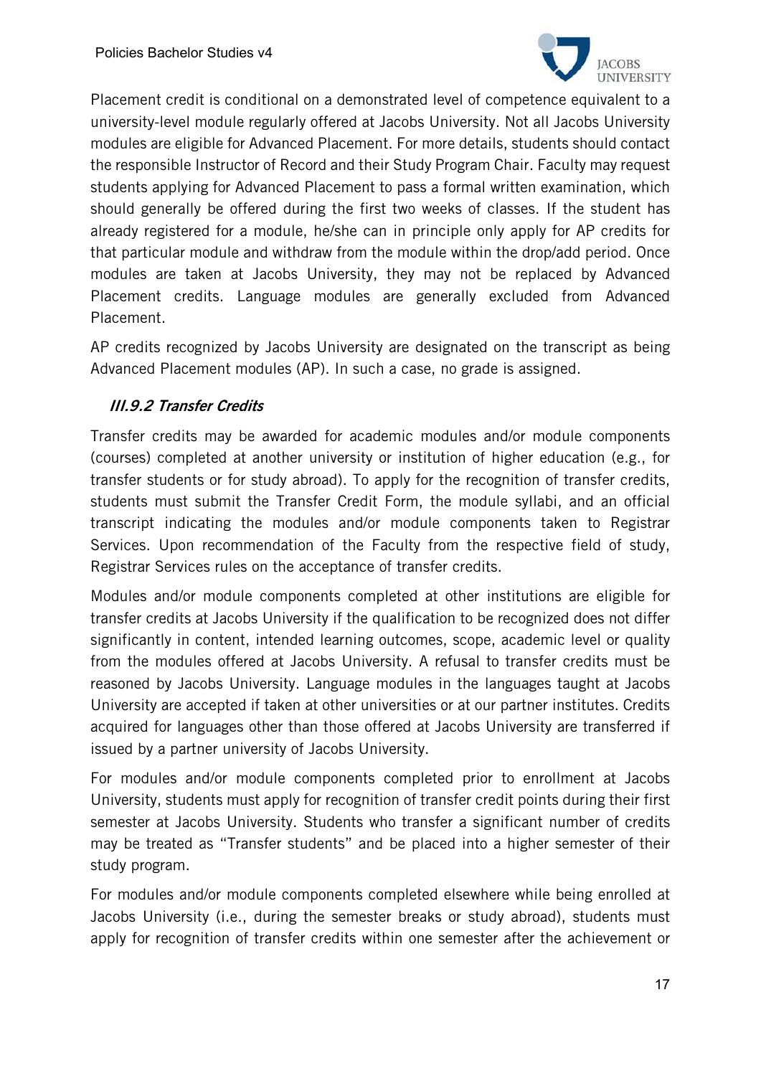

Placement credit is conditional on a demonstrated level of competence equivalent to a university-level module regularly offered at Jacobs University. Not all Jacobs University modules are eligible for Advanced Placement. For more details, students should contact the responsible Instructor of Record and their Study Program Chair. Faculty may request students applying for Advanced Placement to pass a formal written examination, which should generally be offered during the first two weeks of classes. If the student has already registered for a module, he/she can in principle only apply for AP credits for that particular module and withdraw from the module within the drop/add period. Once modules are taken at Jacobs University, they may not be replaced by Advanced Placement credits. Language modules are generally excluded from Advanced Placement.

AP credits recognized by Jacobs University are designated on the transcript as being Advanced Placement modules (AP). In such a case, no grade is assigned.

# III.9.2 Transfer Credits

Transfer credits may be awarded for academic modules and/or module components (courses) completed at another university or institution of higher education (e.g., for transfer students or for study abroad). To apply for the recognition of transfer credits, students must submit the Transfer Credit Form, the module syllabi, and an official transcript indicating the modules and/or module components taken to Registrar Services. Upon recommendation of the Faculty from the respective field of study, Registrar Services rules on the acceptance of transfer credits.

Modules and/or module components completed at other institutions are eligible for transfer credits at Jacobs University if the qualification to be recognized does not differ significantly in content, intended learning outcomes, scope, academic level or quality from the modules offered at Jacobs University. A refusal to transfer credits must be reasoned by Jacobs University. Language modules in the languages taught at Jacobs University are accepted if taken at other universities or at our partner institutes. Credits acquired for languages other than those offered at Jacobs University are transferred if issued by a partner university of Jacobs University.

For modules and/or module components completed prior to enrollment at Jacobs University, students must apply for recognition of transfer credit points during their first semester at Jacobs University. Students who transfer a significant number of credits may be treated as "Transfer students" and be placed into a higher semester of their study program.

For modules and/or module components completed elsewhere while being enrolled at Jacobs University (i.e., during the semester breaks or study abroad), students must apply for recognition of transfer credits within one semester after the achievement or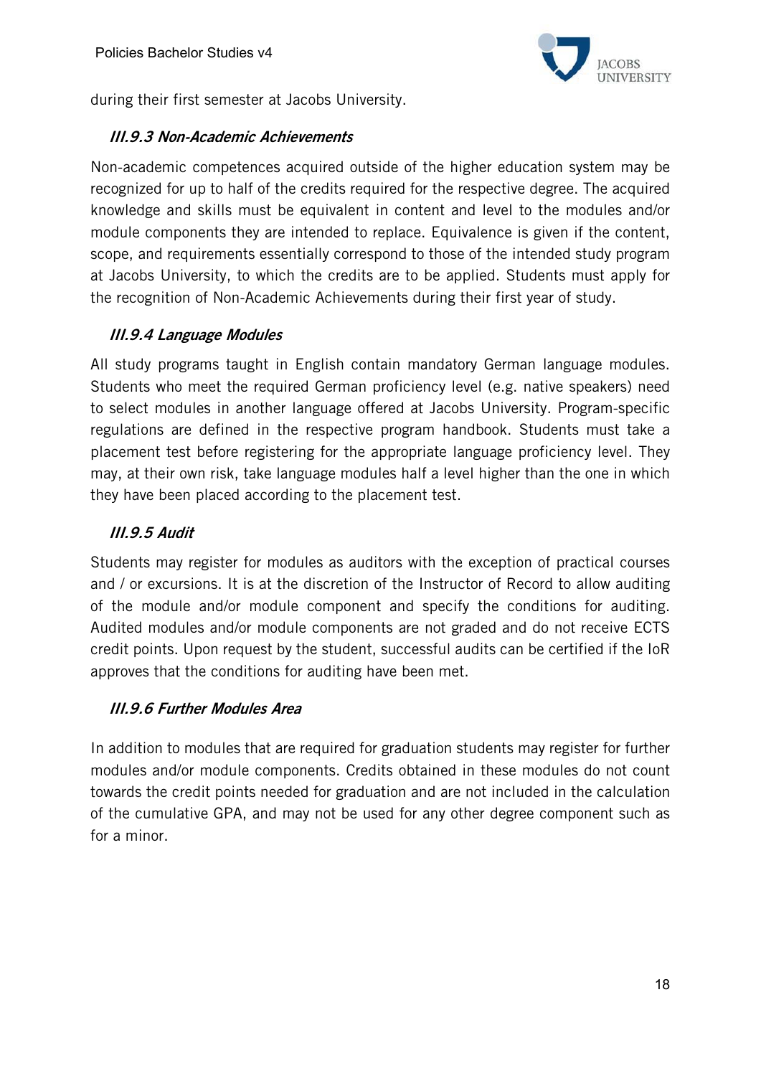

during their first semester at Jacobs University.

#### III.9.3 Non-Academic Achievements

Non-academic competences acquired outside of the higher education system may be recognized for up to half of the credits required for the respective degree. The acquired knowledge and skills must be equivalent in content and level to the modules and/or module components they are intended to replace. Equivalence is given if the content, scope, and requirements essentially correspond to those of the intended study program at Jacobs University, to which the credits are to be applied. Students must apply for the recognition of Non-Academic Achievements during their first year of study.

# III.9.4 Language Modules

All study programs taught in English contain mandatory German language modules. Students who meet the required German proficiency level (e.g. native speakers) need to select modules in another language offered at Jacobs University. Program-specific regulations are defined in the respective program handbook. Students must take a placement test before registering for the appropriate language proficiency level. They may, at their own risk, take language modules half a level higher than the one in which they have been placed according to the placement test.

# III.9.5 Audit

Students may register for modules as auditors with the exception of practical courses and / or excursions. It is at the discretion of the Instructor of Record to allow auditing of the module and/or module component and specify the conditions for auditing. Audited modules and/or module components are not graded and do not receive ECTS credit points. Upon request by the student, successful audits can be certified if the IoR approves that the conditions for auditing have been met.

#### III.9.6 Further Modules Area

In addition to modules that are required for graduation students may register for further modules and/or module components. Credits obtained in these modules do not count towards the credit points needed for graduation and are not included in the calculation of the cumulative GPA, and may not be used for any other degree component such as for a minor.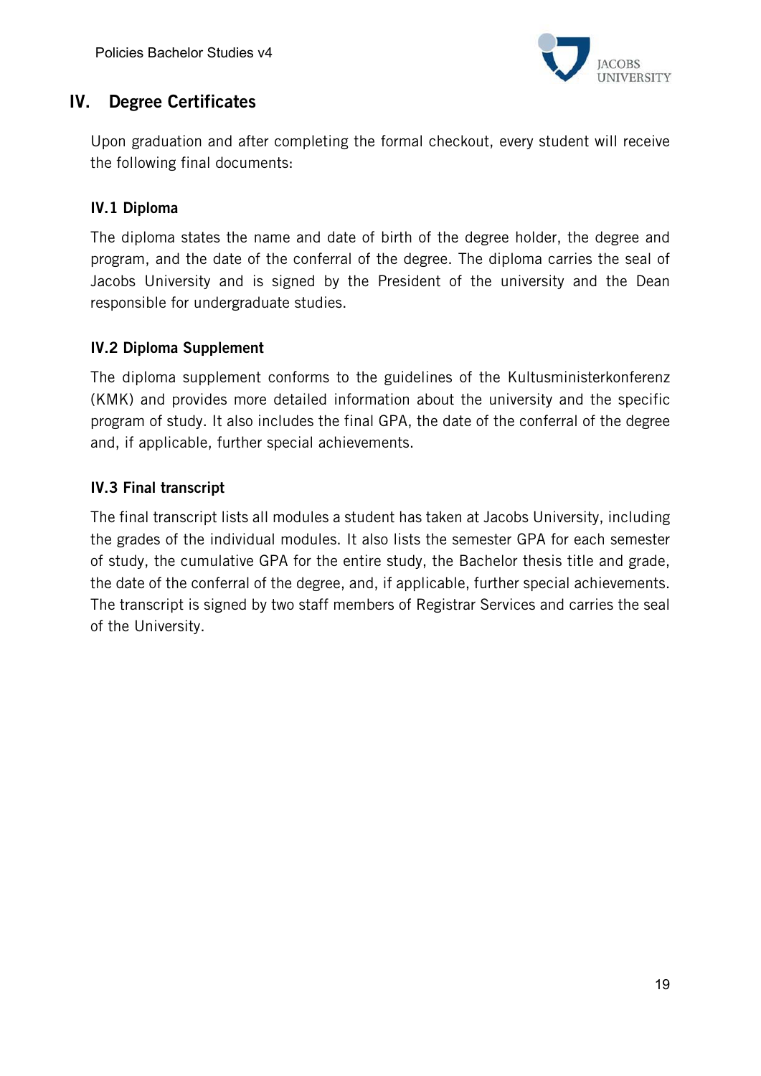

# IV. Degree Certificates

Upon graduation and after completing the formal checkout, every student will receive the following final documents:

# IV.1 Diploma

The diploma states the name and date of birth of the degree holder, the degree and program, and the date of the conferral of the degree. The diploma carries the seal of Jacobs University and is signed by the President of the university and the Dean responsible for undergraduate studies.

# IV.2 Diploma Supplement

The diploma supplement conforms to the guidelines of the Kultusministerkonferenz (KMK) and provides more detailed information about the university and the specific program of study. It also includes the final GPA, the date of the conferral of the degree and, if applicable, further special achievements.

#### IV.3 Final transcript

The final transcript lists all modules a student has taken at Jacobs University, including the grades of the individual modules. It also lists the semester GPA for each semester of study, the cumulative GPA for the entire study, the Bachelor thesis title and grade, the date of the conferral of the degree, and, if applicable, further special achievements. The transcript is signed by two staff members of Registrar Services and carries the seal of the University.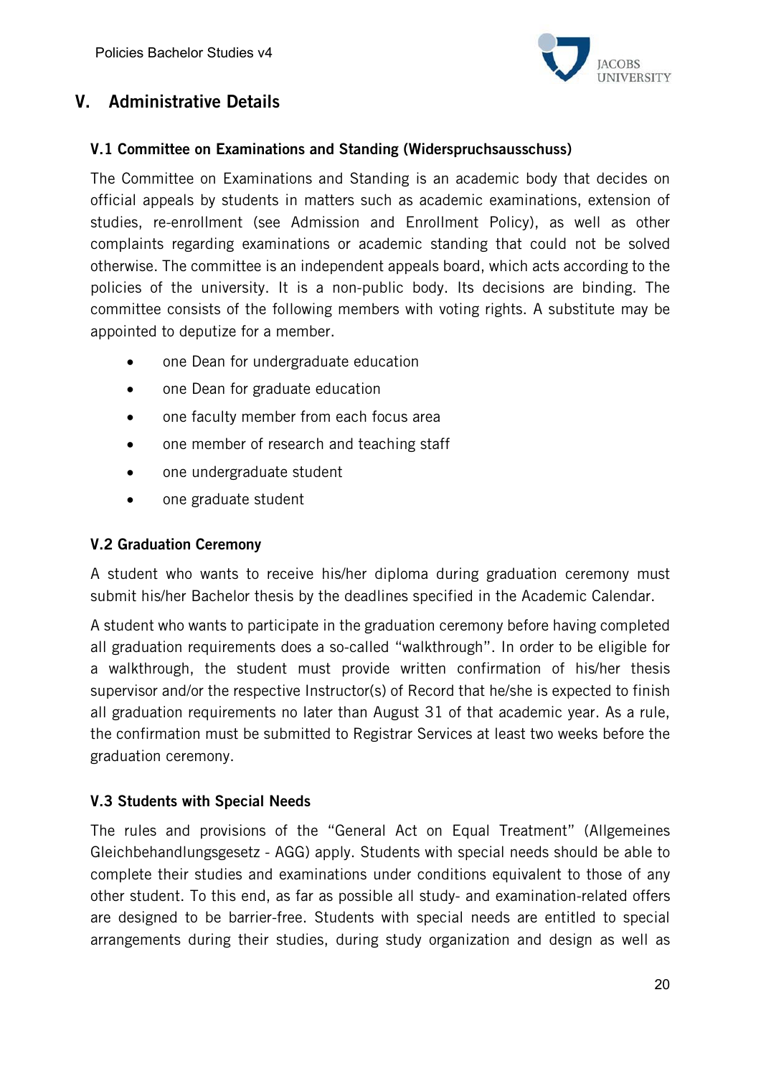

# V. Administrative Details

#### V.1 Committee on Examinations and Standing (Widerspruchsausschuss)

The Committee on Examinations and Standing is an academic body that decides on official appeals by students in matters such as academic examinations, extension of studies, re-enrollment (see Admission and Enrollment Policy), as well as other complaints regarding examinations or academic standing that could not be solved otherwise. The committee is an independent appeals board, which acts according to the policies of the university. It is a non-public body. Its decisions are binding. The committee consists of the following members with voting rights. A substitute may be appointed to deputize for a member.

- one Dean for undergraduate education
- one Dean for graduate education
- one faculty member from each focus area
- one member of research and teaching staff
- one undergraduate student
- one graduate student

#### V.2 Graduation Ceremony

A student who wants to receive his/her diploma during graduation ceremony must submit his/her Bachelor thesis by the deadlines specified in the Academic Calendar.

A student who wants to participate in the graduation ceremony before having completed all graduation requirements does a so-called "walkthrough". In order to be eligible for a walkthrough, the student must provide written confirmation of his/her thesis supervisor and/or the respective Instructor(s) of Record that he/she is expected to finish all graduation requirements no later than August 31 of that academic year. As a rule, the confirmation must be submitted to Registrar Services at least two weeks before the graduation ceremony.

#### V.3 Students with Special Needs

The rules and provisions of the "General Act on Equal Treatment" (Allgemeines Gleichbehandlungsgesetz - AGG) apply. Students with special needs should be able to complete their studies and examinations under conditions equivalent to those of any other student. To this end, as far as possible all study- and examination-related offers are designed to be barrier-free. Students with special needs are entitled to special arrangements during their studies, during study organization and design as well as